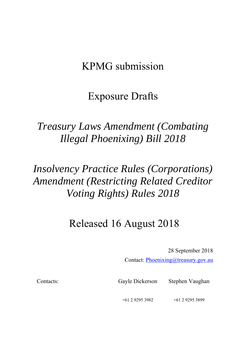## KPMG submission

## Exposure Drafts

## *Treasury Laws Amendment (Combating Illegal Phoenixing) Bill 2018*

# *Insolvency Practice Rules (Corporations) Amendment (Restricting Related Creditor Voting Rights) Rules 2018*

## Released 16 August 2018

28 September 2018

Contact: Phoenixing@treasury.gov.au

Contacts: Gayle Dickerson Stephen Vaughan

+61 2 9295 3982 +61 2 9295 3899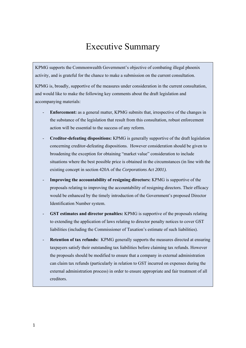### Executive Summary

KPMG supports the Commonwealth Government's objective of combating illegal phoenix activity, and is grateful for the chance to make a submission on the current consultation.

KPMG is, broadly, supportive of the measures under consideration in the current consultation, and would like to make the following key comments about the draft legislation and accompanying materials:

- **Enforcement:** as a general matter, KPMG submits that, irrespective of the changes in the substance of the legislation that result from this consultation, robust enforcement action will be essential to the success of any reform.
- **Creditor-defeating dispositions:** KPMG is generally supportive of the draft legislation concerning creditor-defeating dispositions. However consideration should be given to broadening the exception for obtaining "market value" consideration to include situations where the best possible price is obtained in the circumstances (in line with the existing concept in section 420A of the *Corporations Act 2001).*
- **Improving the accountability of resigning directors:** KPMG is supportive of the proposals relating to improving the accountability of resigning directors. Their efficacy would be enhanced by the timely introduction of the Government's proposed Director Identification Number system.
- GST estimates and director penalties: KPMG is supportive of the proposals relating to extending the application of laws relating to director penalty notices to cover GST liabilities (including the Commissioner of Taxation's estimate of such liabilities).
- **Retention of tax refunds:** KPMG generally supports the measures directed at ensuring taxpayers satisfy their outstanding tax liabilities before claiming tax refunds. However the proposals should be modified to ensure that a company in external administration can claim tax refunds (particularly in relation to GST incurred on expenses during the external administration process) in order to ensure appropriate and fair treatment of all creditors.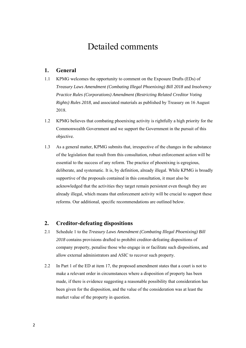### Detailed comments

### **1. General**

- 1.1 KPMG welcomes the opportunity to comment on the Exposure Drafts (EDs) of *Treasury Laws Amendment (Combating Illegal Phoenixing) Bill 2018* and *Insolvency Practice Rules (Corporations) Amendment (Restricting Related Creditor Voting Rights) Rules 2018*, and associated materials as published by Treasury on 16 August 2018.
- 1.2 KPMG believes that combating phoenixing activity is rightfully a high priority for the Commonwealth Government and we support the Government in the pursuit of this objective.
- 1.3 As a general matter, KPMG submits that, irrespective of the changes in the substance of the legislation that result from this consultation, robust enforcement action will be essential to the success of any reform. The practice of phoenixing is egregious, deliberate, and systematic. It is, by definition, already illegal. While KPMG is broadly supportive of the proposals contained in this consultation, it must also be acknowledged that the activities they target remain persistent even though they are already illegal, which means that enforcement activity will be crucial to support these reforms. Our additional, specific recommendations are outlined below.

### **2. Creditor-defeating dispositions**

- 2.1 Schedule 1 to the *Treasury Laws Amendment (Combating Illegal Phoenixing) Bill 2018* contains provisions drafted to prohibit creditor-defeating dispositions of company property, penalise those who engage in or facilitate such dispositions, and allow external administrators and ASIC to recover such property.
- 2.2 In Part 1 of the ED at item 17, the proposed amendment states that a court is not to make a relevant order in circumstances where a disposition of property has been made, if there is evidence suggesting a reasonable possibility that consideration has been given for the disposition, and the value of the consideration was at least the market value of the property in question.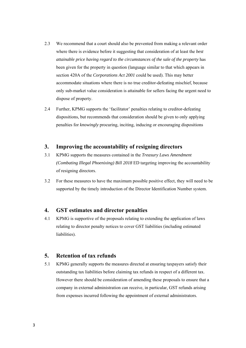- 2.3 We recommend that a court should also be prevented from making a relevant order where there is evidence before it suggesting that consideration of at least the *best attainable price having regard to the circumstances of the sale of the property* has been given for the property in question (language similar to that which appears in section 420A of the *Corporations Act 2001* could be used). This may better accommodate situations where there is no true creditor-defeating mischief, because only sub-market value consideration is attainable for sellers facing the urgent need to dispose of property.
- 2.4 Further, KPMG supports the 'facilitator' penalties relating to creditor-defeating dispositions, but recommends that consideration should be given to only applying penalties for *knowingly* procuring, inciting, inducing or encouraging dispositions

### **3. Improving the accountability of resigning directors**

- 3.1 KPMG supports the measures contained in the *Treasury Laws Amendment (Combating Illegal Phoenixing) Bill 2018* ED targeting improving the accountability of resigning directors.
- 3.2 For these measures to have the maximum possible positive effect, they will need to be supported by the timely introduction of the Director Identification Number system.

#### **4. GST estimates and director penalties**

4.1 KPMG is supportive of the proposals relating to extending the application of laws relating to director penalty notices to cover GST liabilities (including estimated liabilities).

### **5. Retention of tax refunds**

5.1 KPMG generally supports the measures directed at ensuring taxpayers satisfy their outstanding tax liabilities before claiming tax refunds in respect of a different tax. However there should be consideration of amending these proposals to ensure that a company in external administration can receive, in particular, GST refunds arising from expenses incurred following the appointment of external administrators.